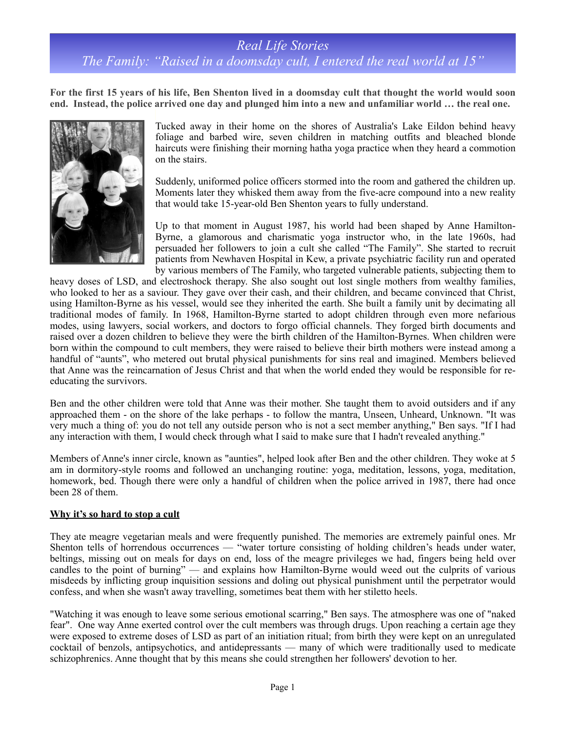## *Real Life Stories*

# *The Family: "Raised in a doomsday cult, I entered the real world at 15"*

**For the first 15 years of his life, Ben Shenton lived in a doomsday cult that thought the world would soon end. Instead, the police arrived one day and plunged him into a new and unfamiliar world … the real one.**



Tucked away in their home on the shores of Australia's Lake Eildon behind heavy foliage and barbed wire, seven children in matching outfits and bleached blonde haircuts were finishing their morning hatha yoga practice when they heard a commotion on the stairs.

Suddenly, uniformed police officers stormed into the room and gathered the children up. Moments later they whisked them away from the five-acre compound into a new reality that would take 15-year-old Ben Shenton years to fully understand.

Up to that moment in August 1987, his world had been shaped by Anne Hamilton-Byrne, a glamorous and charismatic yoga instructor who, in the late 1960s, had persuaded her followers to join a cult she called "The Family". She started to recruit patients from Newhaven Hospital in Kew, a private psychiatric facility run and operated by various members of The Family, who targeted vulnerable patients, subjecting them to

heavy doses of LSD, and electroshock therapy. She also sought out lost single mothers from wealthy families, who looked to her as a saviour. They gave over their cash, and their children, and became convinced that Christ, using Hamilton-Byrne as his vessel, would see they inherited the earth. She built a family unit by decimating all traditional modes of family. In 1968, Hamilton-Byrne started to adopt children through even more nefarious modes, using lawyers, social workers, and doctors to forgo official channels. They forged birth documents and raised over a dozen children to believe they were the birth children of the Hamilton-Byrnes. When children were born within the compound to cult members, they were raised to believe their birth mothers were instead among a handful of "aunts", who metered out brutal physical punishments for sins real and imagined. Members believed that Anne was the reincarnation of Jesus Christ and that when the world ended they would be responsible for reeducating the survivors.

Ben and the other children were told that Anne was their mother. She taught them to avoid outsiders and if any approached them - on the shore of the lake perhaps - to follow the mantra, Unseen, Unheard, Unknown. "It was very much a thing of: you do not tell any outside person who is not a sect member anything," Ben says. "If I had any interaction with them, I would check through what I said to make sure that I hadn't revealed anything."

Members of Anne's inner circle, known as "aunties", helped look after Ben and the other children. They woke at 5 am in dormitory-style rooms and followed an unchanging routine: yoga, meditation, lessons, yoga, meditation, homework, bed. Though there were only a handful of children when the police arrived in 1987, there had once been 28 of them.

#### **Why it's so hard to stop a cult**

They ate meagre vegetarian meals and were frequently punished. The memories are extremely painful ones. Mr Shenton tells of horrendous occurrences — "water torture consisting of holding children's heads under water, beltings, missing out on meals for days on end, loss of the meagre privileges we had, fingers being held over candles to the point of burning" — and explains how Hamilton-Byrne would weed out the culprits of various misdeeds by inflicting group inquisition sessions and doling out physical punishment until the perpetrator would confess, and when she wasn't away travelling, sometimes beat them with her stiletto heels.

"Watching it was enough to leave some serious emotional scarring," Ben says. The atmosphere was one of "naked fear". One way Anne exerted control over the cult members was through drugs. Upon reaching a certain age they were exposed to extreme doses of LSD as part of an initiation ritual; from birth they were kept on an unregulated cocktail of benzols, antipsychotics, and antidepressants — many of which were traditionally used to medicate schizophrenics. Anne thought that by this means she could strengthen her followers' devotion to her.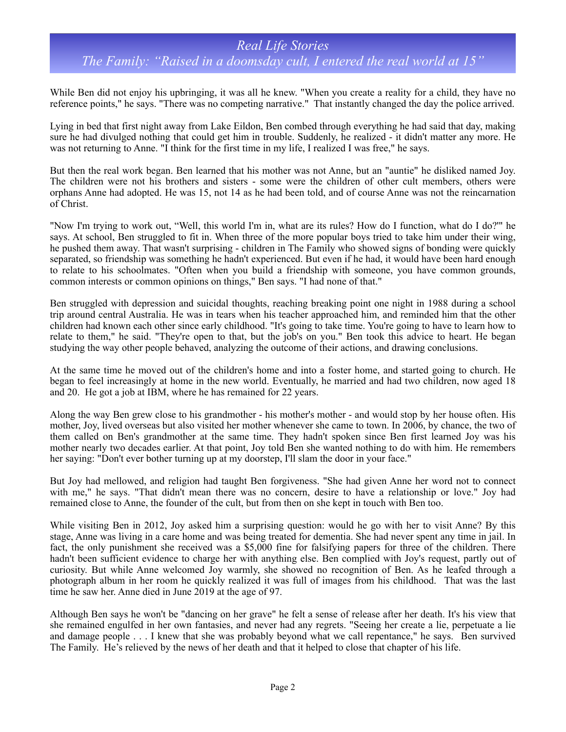### *Real Life Stories*

*The Family: "Raised in a doomsday cult, I entered the real world at 15"*

While Ben did not enjoy his upbringing, it was all he knew. "When you create a reality for a child, they have no reference points," he says. "There was no competing narrative." That instantly changed the day the police arrived.

Lying in bed that first night away from Lake Eildon, Ben combed through everything he had said that day, making sure he had divulged nothing that could get him in trouble. Suddenly, he realized - it didn't matter any more. He was not returning to Anne. "I think for the first time in my life, I realized I was free," he says.

But then the real work began. Ben learned that his mother was not Anne, but an "auntie" he disliked named Joy. The children were not his brothers and sisters - some were the children of other cult members, others were orphans Anne had adopted. He was 15, not 14 as he had been told, and of course Anne was not the reincarnation of Christ.

"Now I'm trying to work out, "Well, this world I'm in, what are its rules? How do I function, what do I do?'" he says. At school, Ben struggled to fit in. When three of the more popular boys tried to take him under their wing, he pushed them away. That wasn't surprising - children in The Family who showed signs of bonding were quickly separated, so friendship was something he hadn't experienced. But even if he had, it would have been hard enough to relate to his schoolmates. "Often when you build a friendship with someone, you have common grounds, common interests or common opinions on things," Ben says. "I had none of that."

Ben struggled with depression and suicidal thoughts, reaching breaking point one night in 1988 during a school trip around central Australia. He was in tears when his teacher approached him, and reminded him that the other children had known each other since early childhood. "It's going to take time. You're going to have to learn how to relate to them," he said. "They're open to that, but the job's on you." Ben took this advice to heart. He began studying the way other people behaved, analyzing the outcome of their actions, and drawing conclusions.

At the same time he moved out of the children's home and into a foster home, and started going to church. He began to feel increasingly at home in the new world. Eventually, he married and had two children, now aged 18 and 20. He got a job at IBM, where he has remained for 22 years.

Along the way Ben grew close to his grandmother - his mother's mother - and would stop by her house often. His mother, Joy, lived overseas but also visited her mother whenever she came to town. In 2006, by chance, the two of them called on Ben's grandmother at the same time. They hadn't spoken since Ben first learned Joy was his mother nearly two decades earlier. At that point, Joy told Ben she wanted nothing to do with him. He remembers her saying: "Don't ever bother turning up at my doorstep, I'll slam the door in your face."

But Joy had mellowed, and religion had taught Ben forgiveness. "She had given Anne her word not to connect with me," he says. "That didn't mean there was no concern, desire to have a relationship or love." Joy had remained close to Anne, the founder of the cult, but from then on she kept in touch with Ben too.

While visiting Ben in 2012, Joy asked him a surprising question: would he go with her to visit Anne? By this stage, Anne was living in a care home and was being treated for dementia. She had never spent any time in jail. In fact, the only punishment she received was a \$5,000 fine for falsifying papers for three of the children. There hadn't been sufficient evidence to charge her with anything else. Ben complied with Joy's request, partly out of curiosity. But while Anne welcomed Joy warmly, she showed no recognition of Ben. As he leafed through a photograph album in her room he quickly realized it was full of images from his childhood. That was the last time he saw her. Anne died in June 2019 at the age of 97.

Although Ben says he won't be "dancing on her grave" he felt a sense of release after her death. It's his view that she remained engulfed in her own fantasies, and never had any regrets. "Seeing her create a lie, perpetuate a lie and damage people . . . I knew that she was probably beyond what we call repentance," he says. Ben survived The Family. He's relieved by the news of her death and that it helped to close that chapter of his life.